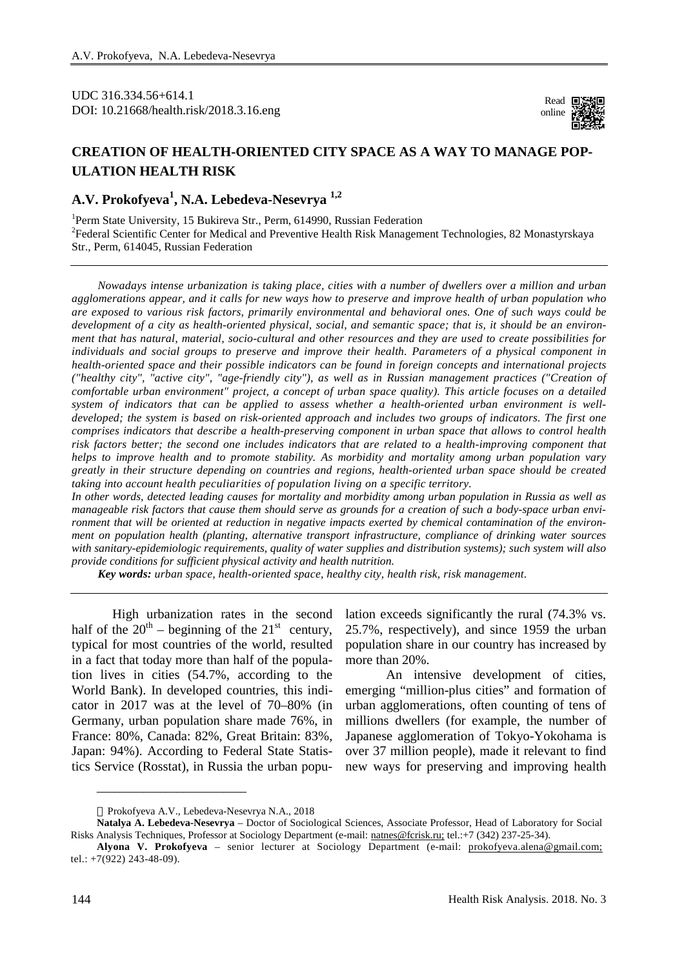UDC 316.334.56+614.1 DOI: 10.21668/health.risk/2018.3.16.eng

Read **E** online

## **CREATION OF HEALTH-ORIENTED CITY SPACE AS A WAY TO MANAGE POP-ULATION HEALTH RISK**

## **A.V. Prokofyeva<sup>1</sup> , N.A. Lebedeva-Nesevrya 1,2**

<sup>1</sup>Perm State University, 15 Bukireva Str., Perm, 614990, Russian Federation <sup>2</sup> Federal Scientific Center for Medical and Preventive Health Risk Management Technologies, 82 Monastyrskaya Str., Perm, 614045, Russian Federation

*Nowadays intense urbanization is taking place, cities with a number of dwellers over a million and urban*  agglomerations appear, and it calls for new ways how to preserve and improve health of urban population who are exposed to various risk factors, primarily environmental and behavioral ones. One of such ways could be development of a city as health-oriented physical, social, and semantic space; that is, it should be an environment that has natural, material, socio-cultural and other resources and they are used to create possibilities for *individuals and social groups to preserve and improve their health. Parameters of a physical component in health-oriented space and their possible indicators can be found in foreign concepts and international projects ("healthy city", "active city", "age-friendly city"), as well as in Russian management practices ("Creation of comfortable urban environment" project, a concept of urban space quality). This article focuses on a detailed system of indicators that can be applied to assess whether a health-oriented urban environment is well*developed; the system is based on risk-oriented approach and includes two groups of indicators. The first one *comprises indicators that describe a health-preserving component in urban space that allows to control health risk factors better; the second one includes indicators that are related to a health-improving component that helps to improve health and to promote stability. As morbidity and mortality among urban population vary greatly in their structure depending on countries and regions, health-oriented urban space should be created taking into account health peculiarities of population living on a specific territory.* 

In other words, detected leading causes for mortality and morbidity among urban population in Russia as well as manageable risk factors that cause them should serve as grounds for a creation of such a body-space urban environment that will be oriented at reduction in negative impacts exerted by chemical contamination of the environ*ment on population health (planting, alternative transport infrastructure, compliance of drinking water sources with sanitary-epidemiologic requirements, quality of water supplies and distribution systems); such system will also provide conditions for sufficient physical activity and health nutrition.* 

*Key words: urban space, health-oriented space, healthy city, health risk, risk management.* 

High urbanization rates in the second half of the  $20^{th}$  – beginning of the  $21^{st}$  century, typical for most countries of the world, resulted in a fact that today more than half of the population lives in cities (54.7%, according to the World Bank). In developed countries, this indicator in 2017 was at the level of 70–80% (in Germany, urban population share made 76%, in France: 80%, Canada: 82%, Great Britain: 83%, Japan: 94%). According to Federal State Statistics Service (Rosstat), in Russia the urban popu-

lation exceeds significantly the rural (74.3% vs. 25.7%, respectively), and since 1959 the urban population share in our country has increased by more than 20%.

An intensive development of cities, emerging "million-plus cities" and formation of urban agglomerations, often counting of tens of millions dwellers (for example, the number of Japanese agglomeration of Tokyo-Yokohama is over 37 million people), made it relevant to find new ways for preserving and improving health

\_\_\_\_\_\_\_\_\_\_\_\_\_\_\_\_\_\_\_\_\_\_\_\_\_\_

Prokofyeva A.V., Lebedeva-Nesevrya N.A., 2018

**Natalya A. Lebedeva-Nesevrya** – Doctor of Sociological Sciences, Associate Professor, Head of Laboratory for Social Risks Analysis Techniques, Professor at Sociology Department (e-mail: [natnes@fcrisk.ru;](mailto:natnes@fcrisk.ru;) tel.:+7 (342) 237-25-34).

**Alyona V. Prokofyeva** – senior lecturer at Sociology Department (e-mail: [prokofyeva.alena@gmail.com;](mailto:prokofyeva.alena@gmail.com;) tel.: +7(922) 243-48-09).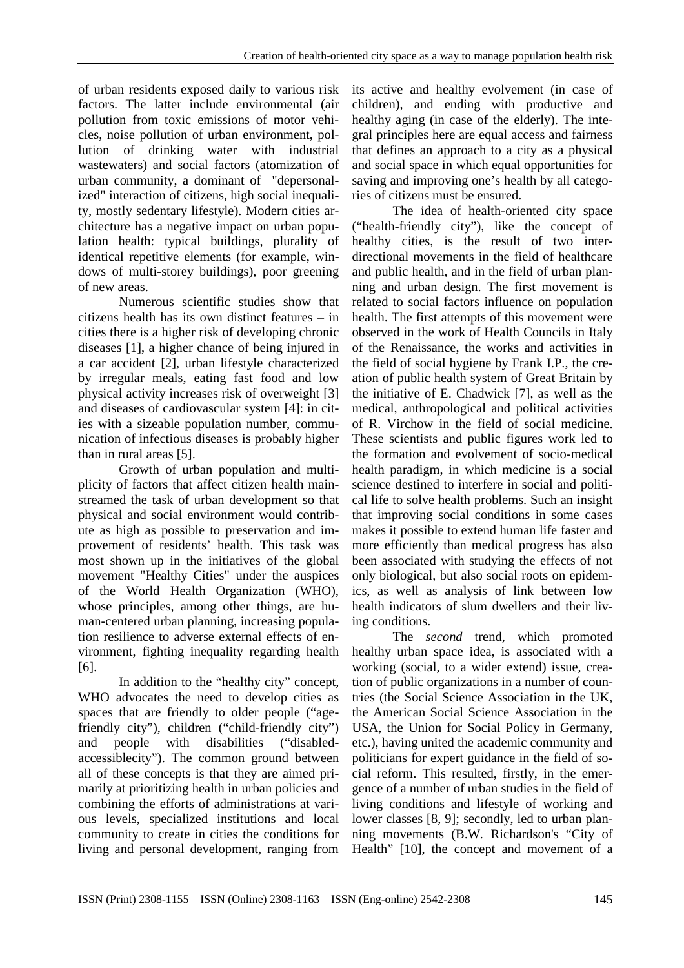of urban residents exposed daily to various risk factors. The latter include environmental (air pollution from toxic emissions of motor vehicles, noise pollution of urban environment, pollution of drinking water with industrial wastewaters) and social factors (atomization of urban community, a dominant of "depersonalized" interaction of citizens, high social inequality, mostly sedentary lifestyle). Modern cities architecture has a negative impact on urban population health: typical buildings, plurality of identical repetitive elements (for example, windows of multi-storey buildings), poor greening of new areas.

Numerous scientific studies show that citizens health has its own distinct features – in cities there is a higher risk of developing chronic diseases [1], a higher chance of being injured in a car accident [2], urban lifestyle characterized by irregular meals, eating fast food and low physical activity increases risk of overweight [3] and diseases of cardiovascular system [4]: in cities with a sizeable population number, communication of infectious diseases is probably higher than in rural areas [5].

Growth of urban population and multiplicity of factors that affect citizen health mainstreamed the task of urban development so that physical and social environment would contribute as high as possible to preservation and improvement of residents' health. This task was most shown up in the initiatives of the global movement "Healthy Cities" under the auspices of the World Health Organization (WHO), whose principles, among other things, are human-centered urban planning, increasing population resilience to adverse external effects of environment, fighting inequality regarding health [6].

In addition to the "healthy city" concept, WHO advocates the need to develop cities as spaces that are friendly to older people ("agefriendly city"), children ("child-friendly city") and people with disabilities ("disabledaccessiblecity"). The common ground between all of these concepts is that they are aimed primarily at prioritizing health in urban policies and combining the efforts of administrations at various levels, specialized institutions and local community to create in cities the conditions for living and personal development, ranging from its active and healthy evolvement (in case of children), and ending with productive and healthy aging (in case of the elderly). The integral principles here are equal access and fairness that defines an approach to a city as a physical and social space in which equal opportunities for saving and improving one's health by all categories of citizens must be ensured.

The idea of health-oriented city space ("health-friendly city"), like the concept of healthy cities, is the result of two interdirectional movements in the field of healthcare and public health, and in the field of urban planning and urban design. The first movement is related to social factors influence on population health. The first attempts of this movement were observed in the work of Health Councils in Italy of the Renaissance, the works and activities in the field of social hygiene by Frank I.P., the creation of public health system of Great Britain by the initiative of E. Chadwick [7], as well as the medical, anthropological and political activities of R. Virchow in the field of social medicine. These scientists and public figures work led to the formation and evolvement of socio-medical health paradigm, in which medicine is a social science destined to interfere in social and political life to solve health problems. Such an insight that improving social conditions in some cases makes it possible to extend human life faster and more efficiently than medical progress has also been associated with studying the effects of not only biological, but also social roots on epidemics, as well as analysis of link between low health indicators of slum dwellers and their living conditions.

The *second* trend, which promoted healthy urban space idea, is associated with a working (social, to a wider extend) issue, creation of public organizations in a number of countries (the Social Science Association in the UK, the American Social Science Association in the USA, the Union for Social Policy in Germany, etc.), having united the academic community and politicians for expert guidance in the field of social reform. This resulted, firstly, in the emergence of a number of urban studies in the field of living conditions and lifestyle of working and lower classes [8, 9]; secondly, led to urban planning movements (B.W. Richardson's "City of Health" [10], the concept and movement of a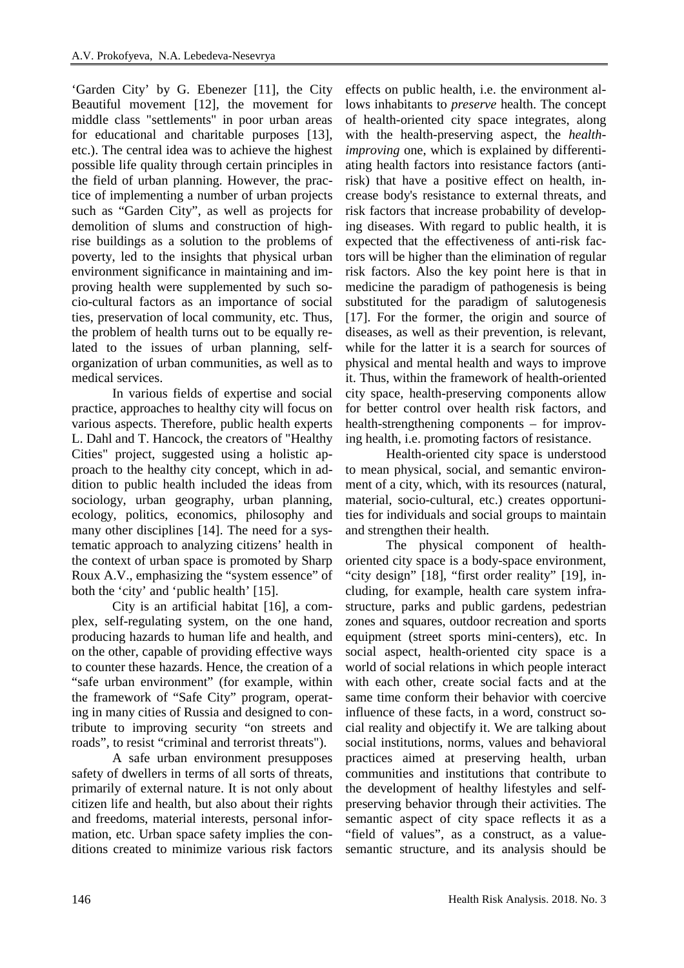'Garden City' by G. Ebenezer [11], the City Beautiful movement [12], the movement for middle class "settlements" in poor urban areas for educational and charitable purposes [13], etc.). The central idea was to achieve the highest possible life quality through certain principles in the field of urban planning. However, the practice of implementing a number of urban projects such as "Garden City", as well as projects for demolition of slums and construction of highrise buildings as a solution to the problems of poverty, led to the insights that physical urban environment significance in maintaining and improving health were supplemented by such socio-cultural factors as an importance of social ties, preservation of local community, etc. Thus, the problem of health turns out to be equally related to the issues of urban planning, selforganization of urban communities, as well as to medical services.

In various fields of expertise and social practice, approaches to healthy city will focus on various aspects. Therefore, public health experts L. Dahl and T. Hancock, the creators of "Healthy Cities" project, suggested using a holistic approach to the healthy city concept, which in addition to public health included the ideas from sociology, urban geography, urban planning, ecology, politics, economics, philosophy and many other disciplines [14]. The need for a systematic approach to analyzing citizens' health in the context of urban space is promoted by Sharp Roux A.V., emphasizing the "system essence" of both the 'city' and 'public health' [15].

City is an artificial habitat [16], a complex, self-regulating system, on the one hand, producing hazards to human life and health, and on the other, capable of providing effective ways to counter these hazards. Hence, the creation of a "safe urban environment" (for example, within the framework of "Safe City" program, operating in many cities of Russia and designed to contribute to improving security "on streets and roads", to resist "criminal and terrorist threats").

A safe urban environment presupposes safety of dwellers in terms of all sorts of threats, primarily of external nature. It is not only about citizen life and health, but also about their rights and freedoms, material interests, personal information, etc. Urban space safety implies the conditions created to minimize various risk factors

effects on public health, i.e. the environment allows inhabitants to *preserve* health. The concept of health-oriented city space integrates, along with the health-preserving aspect, the *healthimproving* one, which is explained by differentiating health factors into resistance factors (antirisk) that have a positive effect on health, increase body's resistance to external threats, and risk factors that increase probability of developing diseases. With regard to public health, it is expected that the effectiveness of anti-risk factors will be higher than the elimination of regular risk factors. Also the key point here is that in medicine the paradigm of pathogenesis is being substituted for the paradigm of salutogenesis [17]. For the former, the origin and source of diseases, as well as their prevention, is relevant, while for the latter it is a search for sources of physical and mental health and ways to improve it. Thus, within the framework of health-oriented city space, health-preserving components allow for better control over health risk factors, and health-strengthening components – for improving health, i.e. promoting factors of resistance.

Health-oriented city space is understood to mean physical, social, and semantic environment of a city, which, with its resources (natural, material, socio-cultural, etc.) creates opportunities for individuals and social groups to maintain and strengthen their health.

The physical component of healthoriented city space is a body-space environment, "city design" [18], "first order reality" [19], including, for example, health care system infrastructure, parks and public gardens, pedestrian zones and squares, outdoor recreation and sports equipment (street sports mini-centers), etc. In social aspect, health-oriented city space is a world of social relations in which people interact with each other, create social facts and at the same time conform their behavior with coercive influence of these facts, in a word, construct social reality and objectify it. We are talking about social institutions, norms, values and behavioral practices aimed at preserving health, urban communities and institutions that contribute to the development of healthy lifestyles and selfpreserving behavior through their activities. The semantic aspect of city space reflects it as a "field of values", as a construct, as a valuesemantic structure, and its analysis should be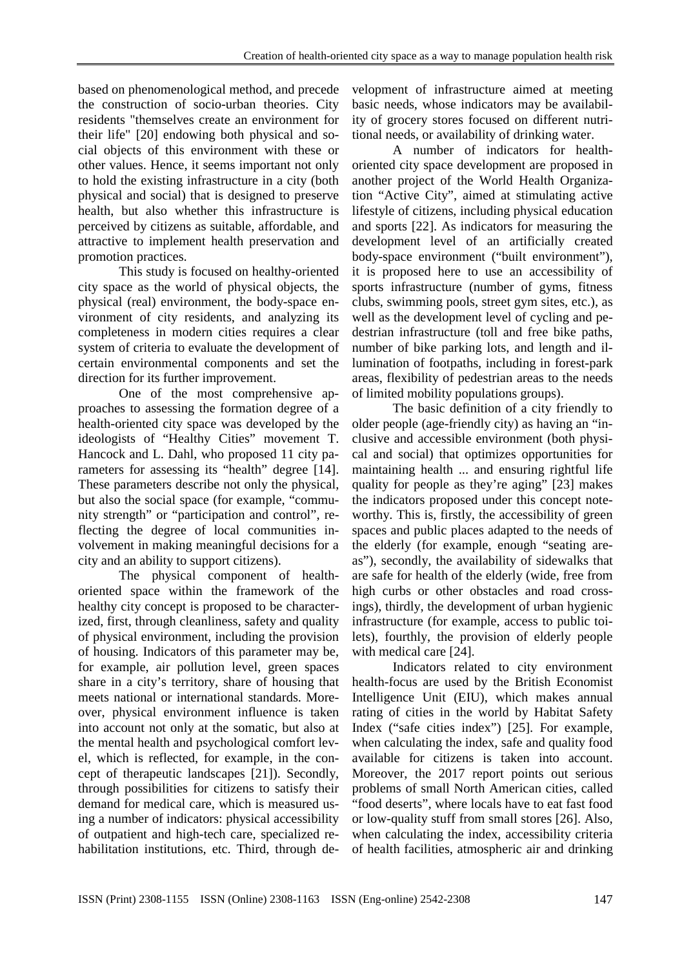based on phenomenological method, and precede the construction of socio-urban theories. City residents "themselves create an environment for their life" [20] endowing both physical and social objects of this environment with these or other values. Hence, it seems important not only to hold the existing infrastructure in a city (both physical and social) that is designed to preserve health, but also whether this infrastructure is perceived by citizens as suitable, affordable, and attractive to implement health preservation and promotion practices.

This study is focused on healthy-oriented city space as the world of physical objects, the physical (real) environment, the body-space environment of city residents, and analyzing its completeness in modern cities requires a clear system of criteria to evaluate the development of certain environmental components and set the direction for its further improvement.

One of the most comprehensive approaches to assessing the formation degree of a health-oriented city space was developed by the ideologists of "Healthy Cities" movement T. Hancock and L. Dahl, who proposed 11 city parameters for assessing its "health" degree [14]. These parameters describe not only the physical, but also the social space (for example, "community strength" or "participation and control", reflecting the degree of local communities involvement in making meaningful decisions for a city and an ability to support citizens).

The physical component of healthoriented space within the framework of the healthy city concept is proposed to be characterized, first, through cleanliness, safety and quality of physical environment, including the provision of housing. Indicators of this parameter may be, for example, air pollution level, green spaces share in a city's territory, share of housing that meets national or international standards. Moreover, physical environment influence is taken into account not only at the somatic, but also at the mental health and psychological comfort level, which is reflected, for example, in the concept of therapeutic landscapes [21]). Secondly, through possibilities for citizens to satisfy their demand for medical care, which is measured using a number of indicators: physical accessibility of outpatient and high-tech care, specialized rehabilitation institutions, etc. Third, through development of infrastructure aimed at meeting basic needs, whose indicators may be availability of grocery stores focused on different nutritional needs, or availability of drinking water.

A number of indicators for healthoriented city space development are proposed in another project of the World Health Organization "Active City", aimed at stimulating active lifestyle of citizens, including physical education and sports [22]. As indicators for measuring the development level of an artificially created body-space environment ("built environment"), it is proposed here to use an accessibility of sports infrastructure (number of gyms, fitness clubs, swimming pools, street gym sites, etc.), as well as the development level of cycling and pedestrian infrastructure (toll and free bike paths, number of bike parking lots, and length and illumination of footpaths, including in forest-park areas, flexibility of pedestrian areas to the needs of limited mobility populations groups).

The basic definition of a city friendly to older people (age-friendly city) as having an "inclusive and accessible environment (both physical and social) that optimizes opportunities for maintaining health ... and ensuring rightful life quality for people as they're aging" [23] makes the indicators proposed under this concept noteworthy. This is, firstly, the accessibility of green spaces and public places adapted to the needs of the elderly (for example, enough "seating areas"), secondly, the availability of sidewalks that are safe for health of the elderly (wide, free from high curbs or other obstacles and road crossings), thirdly, the development of urban hygienic infrastructure (for example, access to public toilets), fourthly, the provision of elderly people with medical care [24].

Indicators related to city environment health-focus are used by the British Economist Intelligence Unit (EIU), which makes annual rating of cities in the world by Habitat Safety Index ("safe cities index") [25]. For example, when calculating the index, safe and quality food available for citizens is taken into account. Moreover, the 2017 report points out serious problems of small North American cities, called "food deserts", where locals have to eat fast food or low-quality stuff from small stores [26]. Also, when calculating the index, accessibility criteria of health facilities, atmospheric air and drinking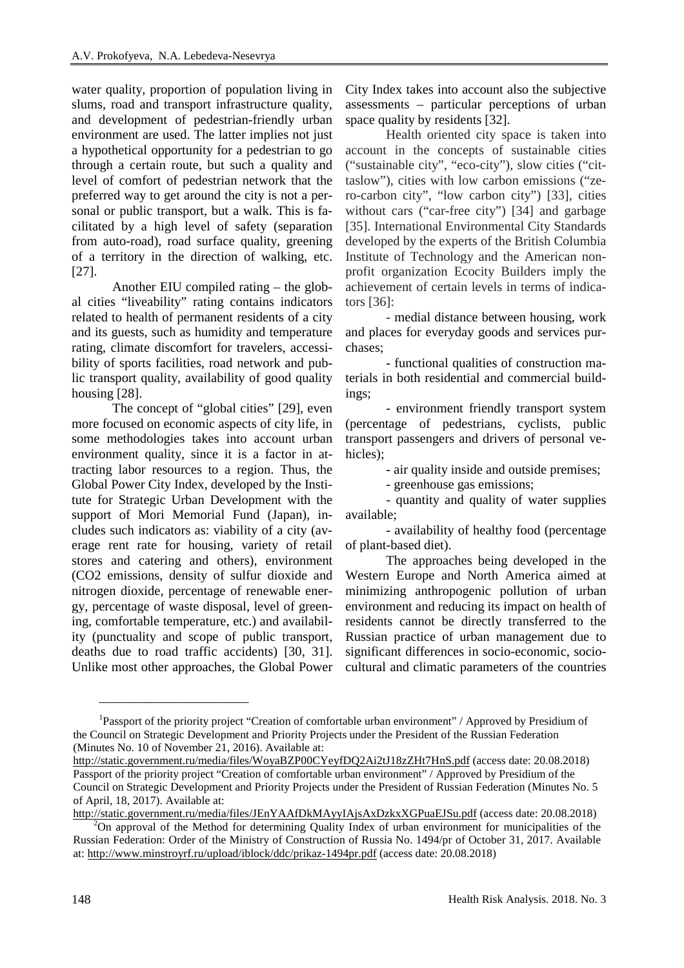water quality, proportion of population living in slums, road and transport infrastructure quality, and development of pedestrian-friendly urban environment are used. The latter implies not just a hypothetical opportunity for a pedestrian to go through a certain route, but such a quality and level of comfort of pedestrian network that the preferred way to get around the city is not a personal or public transport, but a walk. This is facilitated by a high level of safety (separation from auto-road), road surface quality, greening of a territory in the direction of walking, etc. [27].

Another EIU compiled rating – the global cities "liveability" rating contains indicators related to health of permanent residents of a city and its guests, such as humidity and temperature rating, climate discomfort for travelers, accessibility of sports facilities, road network and public transport quality, availability of good quality housing [28].

The concept of "global cities" [29], even more focused on economic aspects of city life, in some methodologies takes into account urban environment quality, since it is a factor in attracting labor resources to a region. Thus, the Global Power City Index, developed by the Institute for Strategic Urban Development with the support of Mori Memorial Fund (Japan), includes such indicators as: viability of a city (average rent rate for housing, variety of retail stores and catering and others), environment (CO2 emissions, density of sulfur dioxide and nitrogen dioxide, percentage of renewable energy, percentage of waste disposal, level of greening, comfortable temperature, etc.) and availability (punctuality and scope of public transport, deaths due to road traffic accidents) [30, 31]. Unlike most other approaches, the Global Power

\_\_\_\_\_\_\_\_\_\_\_\_\_\_\_\_\_\_\_\_\_\_\_\_\_\_

City Index takes into account also the subjective assessments – particular perceptions of urban space quality by residents [32].

Health oriented city space is taken into account in the concepts of sustainable cities ("sustainable city", "eco-city"), slow cities ("cittaslow"), cities with low carbon emissions ("zero-carbon city", "low carbon city") [33], cities without cars ("car-free city") [34] and garbage [35]. International Environmental City Standards developed by the experts of the British Columbia Institute of Technology and the American nonprofit organization Ecocity Builders imply the achievement of certain levels in terms of indicators [36]:

- medial distance between housing, work and places for everyday goods and services purchases;

- functional qualities of construction materials in both residential and commercial buildings;

- environment friendly transport system (percentage of pedestrians, cyclists, public transport passengers and drivers of personal vehicles);

- air quality inside and outside premises;

- greenhouse gas emissions;

- quantity and quality of water supplies available;

- availability of healthy food (percentage of plant-based diet).

The approaches being developed in the Western Europe and North America aimed at minimizing anthropogenic pollution of urban environment and reducing its impact on health of residents cannot be directly transferred to the Russian practice of urban management due to significant differences in socio-economic, sociocultural and climatic parameters of the countries

<sup>&</sup>lt;sup>1</sup>Passport of the priority project "Creation of comfortable urban environment" / Approved by Presidium of the Council on Strategic Development and Priority Projects under the President of the Russian Federation (Minutes No. 10 of November 21, 2016). Available at:

<http://static.government.ru/media/files/WoyaBZP00CYeyfDQ2Ai2tJ18zZHt7HnS.pdf>(access date: 20.08.2018) Passport of the priority project "Creation of comfortable urban environment" / Approved by Presidium of the Council on Strategic Development and Priority Projects under the President of Russian Federation (Minutes No. 5 of April, 18, 2017). Available at:

<http://static.government.ru/media/files/JEnYAAfDkMAyyIAjsAxDzkxXGPuaEJSu.pdf>(access date: 20.08.2018)

 $2^{2}$ On approval of the Method for determining Quality Index of urban environment for municipalities of the Russian Federation: Order of the Ministry of Construction of Russia No. 1494/pr of October 31, 2017. Available at:<http://www.minstroyrf.ru/upload/iblock/ddc/prikaz-1494pr.pdf>(access date: 20.08.2018)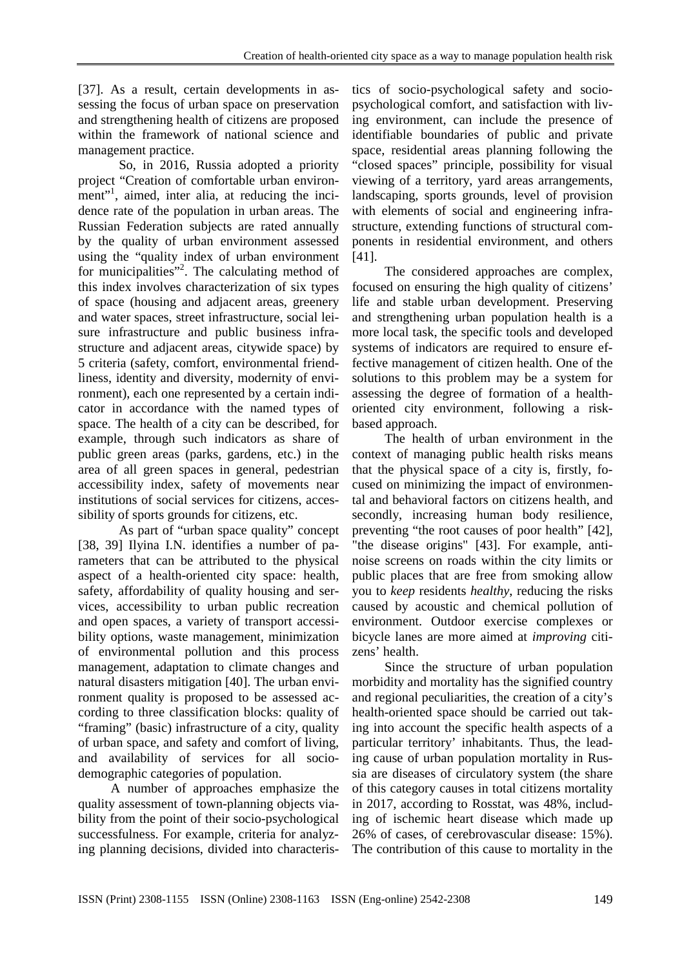[37]. As a result, certain developments in assessing the focus of urban space on preservation and strengthening health of citizens are proposed within the framework of national science and management practice.

So, in 2016, Russia adopted a priority project "Creation of comfortable urban environment"<sup>1</sup>, aimed, inter alia, at reducing the incidence rate of the population in urban areas. The Russian Federation subjects are rated annually by the quality of urban environment assessed using the "quality index of urban environment for municipalities"<sup>2</sup>. The calculating method of this index involves characterization of six types of space (housing and adjacent areas, greenery and water spaces, street infrastructure, social leisure infrastructure and public business infrastructure and adjacent areas, citywide space) by 5 criteria (safety, comfort, environmental friendliness, identity and diversity, modernity of environment), each one represented by a certain indicator in accordance with the named types of space. The health of a city can be described, for example, through such indicators as share of public green areas (parks, gardens, etc.) in the area of all green spaces in general, pedestrian accessibility index, safety of movements near institutions of social services for citizens, accessibility of sports grounds for citizens, etc.

As part of "urban space quality" concept [38, 39] Ilyina I.N. identifies a number of parameters that can be attributed to the physical aspect of a health-oriented city space: health, safety, affordability of quality housing and services, accessibility to urban public recreation and open spaces, a variety of transport accessibility options, waste management, minimization of environmental pollution and this process management, adaptation to climate changes and natural disasters mitigation [40]. The urban environment quality is proposed to be assessed according to three classification blocks: quality of "framing" (basic) infrastructure of a city, quality of urban space, and safety and comfort of living, and availability of services for all sociodemographic categories of population.

A number of approaches emphasize the quality assessment of town-planning objects viability from the point of their socio-psychological successfulness. For example, criteria for analyzing planning decisions, divided into characteristics of socio-psychological safety and sociopsychological comfort, and satisfaction with living environment, can include the presence of identifiable boundaries of public and private space, residential areas planning following the "closed spaces" principle, possibility for visual viewing of a territory, yard areas arrangements, landscaping, sports grounds, level of provision with elements of social and engineering infrastructure, extending functions of structural components in residential environment, and others [41].

The considered approaches are complex, focused on ensuring the high quality of citizens' life and stable urban development. Preserving and strengthening urban population health is a more local task, the specific tools and developed systems of indicators are required to ensure effective management of citizen health. One of the solutions to this problem may be a system for assessing the degree of formation of a healthoriented city environment, following a riskbased approach.

The health of urban environment in the context of managing public health risks means that the physical space of a city is, firstly, focused on minimizing the impact of environmental and behavioral factors on citizens health, and secondly, increasing human body resilience, preventing "the root causes of poor health" [42], "the disease origins" [43]. For example, antinoise screens on roads within the city limits or public places that are free from smoking allow you to *keep* residents *healthy*, reducing the risks caused by acoustic and chemical pollution of environment. Outdoor exercise complexes or bicycle lanes are more aimed at *improving* citizens' health.

Since the structure of urban population morbidity and mortality has the signified country and regional peculiarities, the creation of a city's health-oriented space should be carried out taking into account the specific health aspects of a particular territory' inhabitants. Thus, the leading cause of urban population mortality in Russia are diseases of circulatory system (the share of this category causes in total citizens mortality in 2017, according to Rosstat, was 48%, including of ischemic heart disease which made up 26% of cases, of cerebrovascular disease: 15%). The contribution of this cause to mortality in the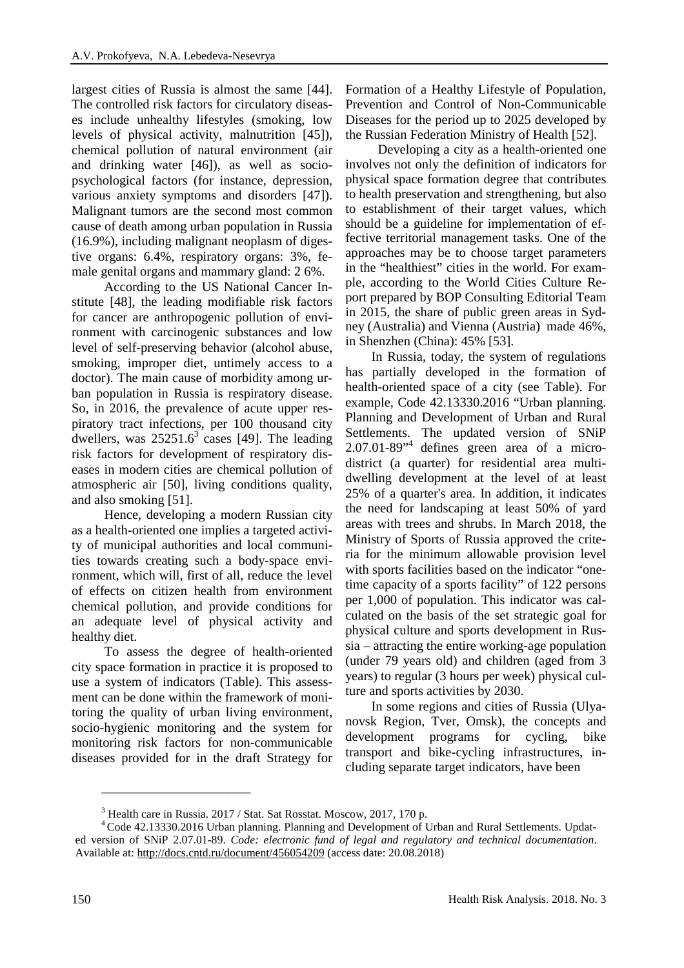largest cities of Russia is almost the same [44]. The controlled risk factors for circulatory diseases include unhealthy lifestyles (smoking, low levels of physical activity, malnutrition [45]), chemical pollution of natural environment (air and drinking water [46]), as well as sociopsychological factors (for instance, depression, various anxiety symptoms and disorders [47]). Malignant tumors are the second most common cause of death among urban population in Russia (16.9%), including malignant neoplasm of digestive organs: 6.4%, respiratory organs: 3%, female genital organs and mammary gland: 2 6%.

According to the US National Cancer Institute [48], the leading modifiable risk factors for cancer are anthropogenic pollution of environment with carcinogenic substances and low level of self-preserving behavior (alcohol abuse, smoking, improper diet, untimely access to a doctor). The main cause of morbidity among urban population in Russia is respiratory disease. So, in 2016, the prevalence of acute upper respiratory tract infections, per 100 thousand city dwellers, was  $25251.6^3$  cases [49]. The leading risk factors for development of respiratory diseases in modern cities are chemical pollution of atmospheric air [50], living conditions quality, and also smoking [51].

Hence, developing a modern Russian city as a health-oriented one implies a targeted activity of municipal authorities and local communities towards creating such a body-space environment, which will, first of all, reduce the level of effects on citizen health from environment chemical pollution, and provide conditions for an adequate level of physical activity and healthy diet.

To assess the degree of health-oriented city space formation in practice it is proposed to use a system of indicators (Table). This assessment can be done within the framework of monitoring the quality of urban living environment, socio-hygienic monitoring and the system for monitoring risk factors for non-communicable diseases provided for in the draft Strategy for

\_\_\_\_\_\_\_\_\_\_\_\_\_\_\_\_\_\_\_\_\_\_\_\_\_\_

Formation of a Healthy Lifestyle of Population, Prevention and Control of Non-Communicable Diseases for the period up to 2025 developed by the Russian Federation Ministry of Health [52].

Developing a city as a health-oriented one involves not only the definition of indicators for physical space formation degree that contributes to health preservation and strengthening, but also to establishment of their target values, which should be a guideline for implementation of effective territorial management tasks. One of the approaches may be to choose target parameters in the "healthiest" cities in the world. For example, according to the World Cities Culture Report prepared by BOP Consulting Editorial Team in 2015, the share of public green areas in Sydney (Australia) and Vienna (Austria) made 46%, in Shenzhen (China): 45% [53].

In Russia, today, the system of regulations has partially developed in the formation of health-oriented space of a city (see Table). For example, Code 42.13330.2016 "Urban planning. Planning and Development of Urban and Rural Settlements. The updated version of SNiP  $2.07.01-89$ <sup>\*\*</sup> defines green area of a microdistrict (a quarter) for residential area multidwelling development at the level of at least 25% of a quarter's area. In addition, it indicates the need for landscaping at least 50% of yard areas with trees and shrubs. In March 2018, the Ministry of Sports of Russia approved the criteria for the minimum allowable provision level with sports facilities based on the indicator "onetime capacity of a sports facility" of 122 persons per 1,000 of population. This indicator was calculated on the basis of the set strategic goal for physical culture and sports development in Russia – attracting the entire working-age population (under 79 years old) and children (aged from 3 years) to regular (3 hours per week) physical culture and sports activities by 2030.

In some regions and cities of Russia (Ulyanovsk Region, Tver, Omsk), the concepts and development programs for cycling, bike transport and bike-cycling infrastructures, including separate target indicators, have been

<sup>3</sup> Health care in Russia. 2017 / Stat. Sat Rosstat. Moscow, 2017, 170 p.

<sup>4</sup>Code 42.13330.2016 Urban planning. Planning and Development of Urban and Rural Settlements. Updated version of SNiP 2.07.01-89. *Code: electronic fund of legal and regulatory and technical documentation*. Available at:<http://docs.cntd.ru/document/456054209> (access date: 20.08.2018)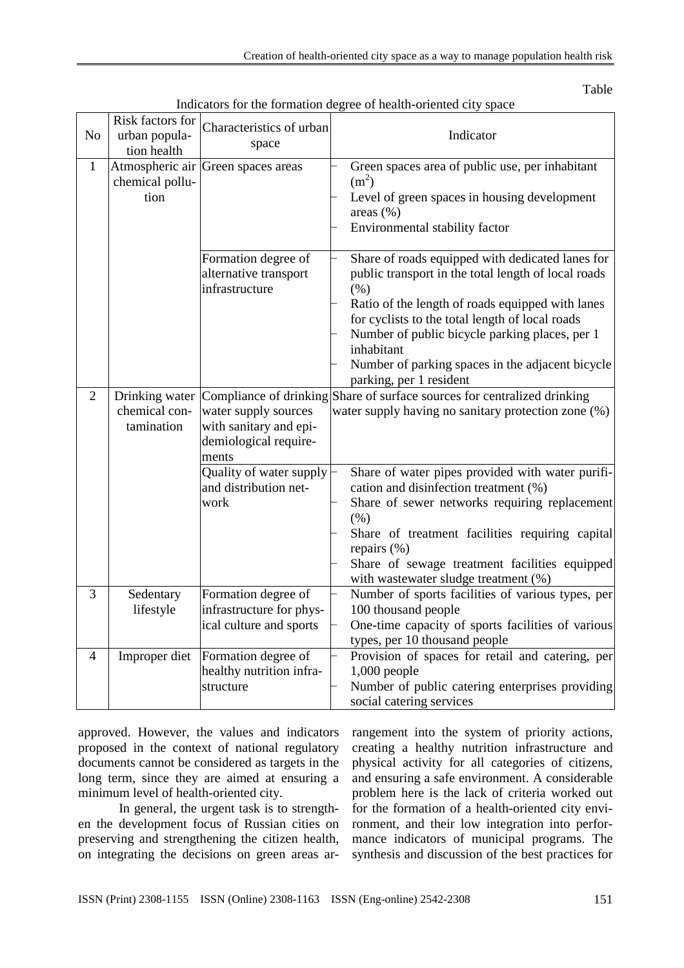Table

| N <sub>o</sub> | Risk factors for<br>urban popula-<br>tion health | Characteristics of urban<br>space                                                                                                            | Indicator                                                                                                                                                                                                                                                                                                                                                                                                                   |
|----------------|--------------------------------------------------|----------------------------------------------------------------------------------------------------------------------------------------------|-----------------------------------------------------------------------------------------------------------------------------------------------------------------------------------------------------------------------------------------------------------------------------------------------------------------------------------------------------------------------------------------------------------------------------|
| $\mathbf{1}$   | chemical pollu-<br>tion                          | Atmospheric air Green spaces areas                                                                                                           | Green spaces area of public use, per inhabitant<br>$(m^2)$<br>Level of green spaces in housing development<br>areas $(\%)$<br>Environmental stability factor                                                                                                                                                                                                                                                                |
|                |                                                  | Formation degree of<br>alternative transport<br>infrastructure                                                                               | Share of roads equipped with dedicated lanes for<br>public transport in the total length of local roads<br>(% )<br>Ratio of the length of roads equipped with lanes<br>for cyclists to the total length of local roads<br>Number of public bicycle parking places, per 1<br>inhabitant<br>Number of parking spaces in the adjacent bicycle<br>parking, per 1 resident                                                       |
| $\overline{2}$ | chemical con-<br>tamination                      | water supply sources<br>with sanitary and epi-<br>demiological require-<br>ments<br>Quality of water supply<br>and distribution net-<br>work | Drinking water Compliance of drinking Share of surface sources for centralized drinking<br>water supply having no sanitary protection zone (%)<br>Share of water pipes provided with water purifi-<br>cation and disinfection treatment (%)<br>Share of sewer networks requiring replacement<br>(% )<br>Share of treatment facilities requiring capital<br>repairs $(\% )$<br>Share of sewage treatment facilities equipped |
| 3              | Sedentary<br>lifestyle                           | Formation degree of<br>infrastructure for phys-<br>ical culture and sports                                                                   | with wastewater sludge treatment (%)<br>Number of sports facilities of various types, per<br>100 thousand people<br>One-time capacity of sports facilities of various<br>types, per 10 thousand people                                                                                                                                                                                                                      |
| 4              | Improper diet                                    | Formation degree of<br>healthy nutrition infra-<br>structure                                                                                 | Provision of spaces for retail and catering, per<br>$1,000$ people<br>Number of public catering enterprises providing<br>social catering services                                                                                                                                                                                                                                                                           |

Indicators for the formation degree of health-oriented city space

approved. However, the values and indicators proposed in the context of national regulatory documents cannot be considered as targets in the long term, since they are aimed at ensuring a minimum level of health-oriented city.

In general, the urgent task is to strengthen the development focus of Russian cities on preserving and strengthening the citizen health, on integrating the decisions on green areas arrangement into the system of priority actions, creating a healthy nutrition infrastructure and physical activity for all categories of citizens, and ensuring a safe environment. A considerable problem here is the lack of criteria worked out for the formation of a health-oriented city environment, and their low integration into performance indicators of municipal programs. The synthesis and discussion of the best practices for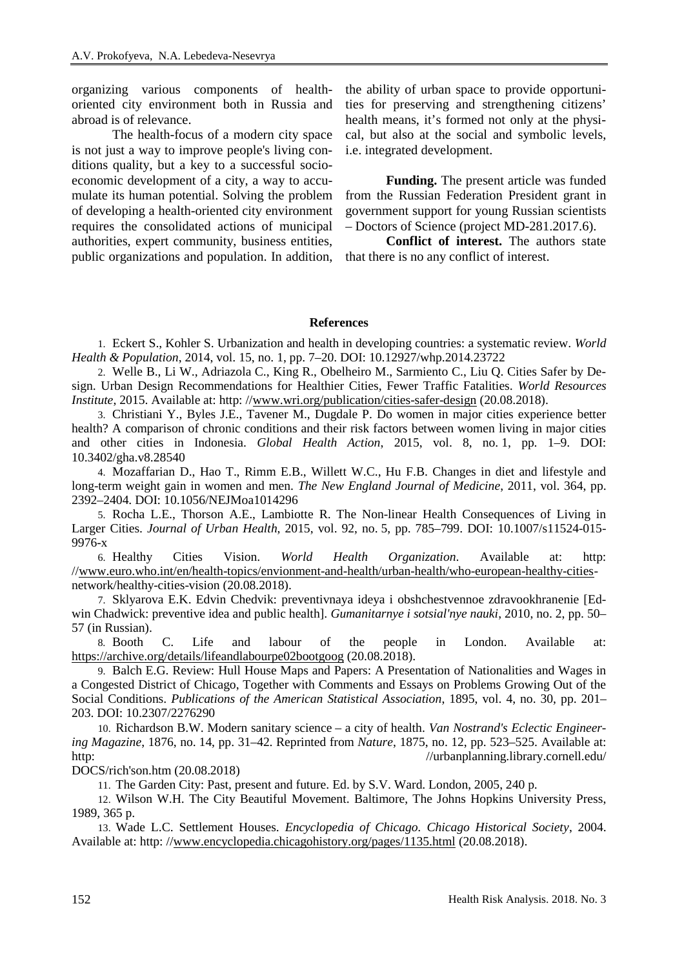organizing various components of healthoriented city environment both in Russia and abroad is of relevance.

The health-focus of a modern city space is not just a way to improve people's living conditions quality, but a key to a successful socioeconomic development of a city, a way to accumulate its human potential. Solving the problem of developing a health-oriented city environment requires the consolidated actions of municipal authorities, expert community, business entities, public organizations and population. In addition, the ability of urban space to provide opportunities for preserving and strengthening citizens' health means, it's formed not only at the physical, but also at the social and symbolic levels, i.e. integrated development.

**Funding.** The present article was funded from the Russian Federation President grant in government support for young Russian scientists – Doctors of Science (project MD-281.2017.6).

**Conflict of interest.** The authors state that there is no any conflict of interest.

## **References**

1. Eckert S., Kohler S. Urbanization and health in developing countries: a systematic review. *World Health & Population*, 2014, vol. 15, no. 1, pp. 7–20. DOI: 10.12927/whp.2014.23722

2. Welle B., Li W., Adriazola C., King R., Obelheiro M., Sarmiento C., Liu Q. Cities Safer by Design. Urban Design Recommendations for Healthier Cities, Fewer Traffic Fatalities. *World Resources Institute*, 2015. Available at: http: //[www.wri.org/publication/cities-safer-design](http://www.wri.org/publication/cities-safer-design) (20.08.2018).

3. Christiani Y., Byles J.E., Tavener M., Dugdale P. Do women in major cities experience better health? A comparison of chronic conditions and their risk factors between women living in major cities and other cities in Indonesia. *Global Health Action*, 2015, vol. 8, no. 1, pp. 1–9. DOI: 10.3402/gha.v8.28540

4. Mozaffarian D., Hao T., Rimm E.B., Willett W.C., Hu F.B. Changes in diet and lifestyle and long-term weight gain in women and men. *The New England Journal of Medicine*, 2011, vol. 364, pp. 2392–2404. DOI: 10.1056/NEJMoa1014296

5. Rocha L.E., Thorson A.E., Lambiotte R. The Non-linear Health Consequences of Living in Larger Cities. *Journal of Urban Health*, 2015, vol. 92, no. 5, pp. 785–799. DOI: 10.1007/s11524-015- 9976-x

6. Healthy Cities Vision. *World Health Organization*. Available at: http: //[www.euro.who.int/en/health-topics/envionment-and-health/urban-health/who-european-healthy-cities](http://www.euro.who.int/en/health-topics/envionment-and-health/urban-health/who-european-healthy-cities)network/healthy-cities-vision (20.08.2018).

7. Sklyarova E.K. Edvin Chedvik: preventivnaya ideya i obshchestvennoe zdravookhranenie [Edwin Chadwick: preventive idea and public health]. *Gumanitarnye i sotsial'nye nauki*, 2010, no. 2, pp. 50– 57 (in Russian).

8. Booth C. Life and labour of the people in London. Available at: <https://archive.org/details/lifeandlabourpe02bootgoog> (20.08.2018).

9. Balch E.G. Review: Hull House Maps and Papers: A Presentation of Nationalities and Wages in a Congested District of Chicago, Together with Comments and Essays on Problems Growing Out of the Social Conditions. *Publications of the American Statistical Association*, 1895, vol. 4, no. 30, pp. 201– 203. DOI: 10.2307/2276290

10. Richardson B.W. Modern sanitary science – a city of health. *Van Nostrand's Eclectic Engineering Magazine*, 1876, no. 14, pp. 31–42. Reprinted from *Nature*, 1875, no. 12, pp. 523–525. Available at: http: //urbanplanning.library.cornell.edu/

DOCS/rich'son.htm (20.08.2018)

11. The Garden City: Past, present and future. Ed. by S.V. Ward. London, 2005, 240 p.

12. Wilson W.H. The City Beautiful Movement. Baltimore, The Johns Hopkins University Press, 1989, 365 p.

13. Wade L.C. Settlement Houses. *Encyclopedia of Chicago. Chicago Historical Society*, 2004. Available at: http: //[www.encyclopedia.chicagohistory.org/pages/1135.html](http://www.encyclopedia.chicagohistory.org/pages/1135.html) (20.08.2018).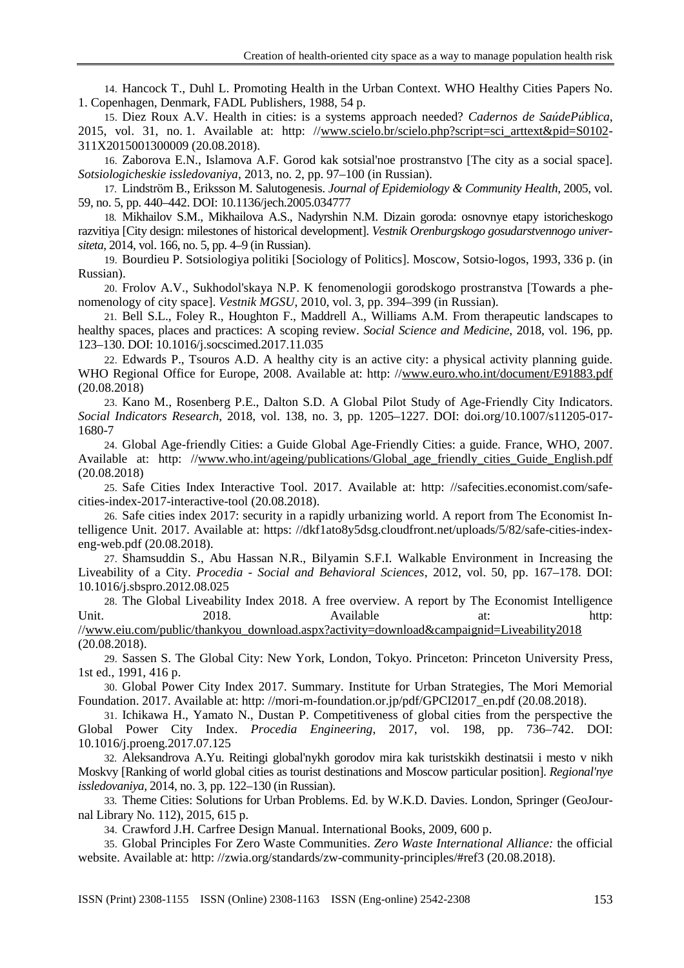14. Hancock T., Duhl L. Promoting Health in the Urban Context. WHO Healthy Cities Papers No. 1. Copenhagen, Denmark, FADL Publishers, 1988, 54 p.

15. Diez Roux A.V. Health in cities: is a systems approach needed? *Cadernos de SaúdePública*, 2015, vol. 31, no. 1. Available at: http: //[www.scielo.br/scielo.php?script=sci\\_arttext&pid=S0102-](http://www.scielo.br/scielo.php?script=sci_arttext&pid=S0102) 311X2015001300009 (20.08.2018).

16. Zaborova E.N., Islamova A.F. Gorod kak sotsial'noe prostranstvo [The city as a social space]. *Sotsiologicheskie issledovaniya*, 2013, no. 2, pp. 97–100 (in Russian).

17. Lindström B., Eriksson M. Salutogenesis. *Journal of Epidemiology & Community Health*, 2005, vol. 59, no. 5, pp. 440–442. DOI: 10.1136/jech.2005.034777

18. Mikhailov S.M., Mikhailova A.S., Nadyrshin N.M. Dizain goroda: osnovnye etapy istoricheskogo razvitiya [City design: milestones of historical development]. *Vestnik Orenburgskogo gosudarstvennogo universiteta*, 2014, vol. 166, no. 5, pp. 4–9 (in Russian).

19. Bourdieu P. Sotsiologiya politiki [Sociology of Politics]. Moscow, Sotsio-logos, 1993, 336 p. (in Russian).

20. Frolov A.V., Sukhodol'skaya N.P. K fenomenologii gorodskogo prostranstva [Towards a phenomenology of city space]. *Vestnik MGSU*, 2010, vol. 3, pp. 394–399 (in Russian).

21. Bell S.L., Foley R., Houghton F., Maddrell A., Williams A.M. From therapeutic landscapes to healthy spaces, places and practices: A scoping review. *Social Science and Medicine*, 2018, vol. 196, pp. 123–130. DOI: 10.1016/j.socscimed.2017.11.035

22. Edwards P., Tsouros A.D. A healthy city is an active city: a physical activity planning guide. WHO Regional Office for Europe, 2008. Available at: http://[www.euro.who.int/document/E91883.pdf](http://www.euro.who.int/document/E91883.pdf) (20.08.2018)

23. Kano M., Rosenberg P.E., Dalton S.D. A Global Pilot Study of Age-Friendly City Indicators. *Social Indicators Research*, 2018, vol. 138, no. 3, pp. 1205–1227. DOI: doi.org/10.1007/s11205-017- 1680-7

24. Global Age-friendly Cities: a Guide Global Age-Friendly Cities: a guide. France, WHO, 2007. Available at: http: /[/www.who.int/ageing/publications/Global\\_age\\_friendly\\_cities\\_Guide\\_English.pdf](http://www.who.int/ageing/publications/Global_age_friendly_cities_Guide_English.pdf) (20.08.2018)

25. Safe Cities Index Interactive Tool. 2017. Available at: http: //safecities.economist.com/safecities-index-2017-interactive-tool (20.08.2018).

26. Safe cities index 2017: security in a rapidly urbanizing world. A report from The Economist Intelligence Unit. 2017. Available at: https: //dkf1ato8y5dsg.cloudfront.net/uploads/5/82/safe-cities-indexeng-web.pdf (20.08.2018).

27. Shamsuddin S., Abu Hassan N.R., Bilyamin S.F.I. Walkable Environment in Increasing the Liveability of a City. *Procedia - Social and Behavioral Sciences*, 2012, vol. 50, pp. 167–178. DOI: 10.1016/j.sbspro.2012.08.025

28. The Global Liveability Index 2018. A free overview. A report by The Economist Intelligence Unit. 2018. Available at: http: /[/www.eiu.com/public/thankyou\\_download.aspx?activity=download&campaignid=Liveability2018](http://www.eiu.com/public/thankyou_download.aspx?activity=download&campaignid=Liveability2018) (20.08.2018).

29. Sassen S. The Global City: New York, London, Tokyo. Princeton: Princeton University Press, 1st ed., 1991, 416 p.

30. Global Power City Index 2017. Summary. Institute for Urban Strategies, The Mori Memorial Foundation. 2017. Available at: http: //mori-m-foundation.or.jp/pdf/GPCI2017\_en.pdf (20.08.2018).

31. Ichikawa H., Yamato N., Dustan P. Competitiveness of global cities from the perspective the Global Power City Index. *Procedia Engineering*, 2017, vol. 198, pp. 736–742. DOI: 10.1016/j.proeng.2017.07.125

32. Aleksandrova A.Yu. Reitingi global'nykh gorodov mira kak turistskikh destinatsii i mesto v nikh Moskvy [Ranking of world global cities as tourist destinations and Moscow particular position]. *Regional'nye issledovaniya,* 2014, no. 3, pp. 122–130 (in Russian).

33. Theme Cities: Solutions for Urban Problems. Ed. by W.K.D. Davies. London, Springer (GeoJournal Library No. 112), 2015, 615 p.

34. Crawford J.H. Carfree Design Manual. International Books, 2009, 600 p.

35. Global Principles For Zero Waste Communities. *Zero Waste International Alliance:* the official website. Available at: http://zwia.org/standards/zw-community-principles/#ref3 (20.08.2018).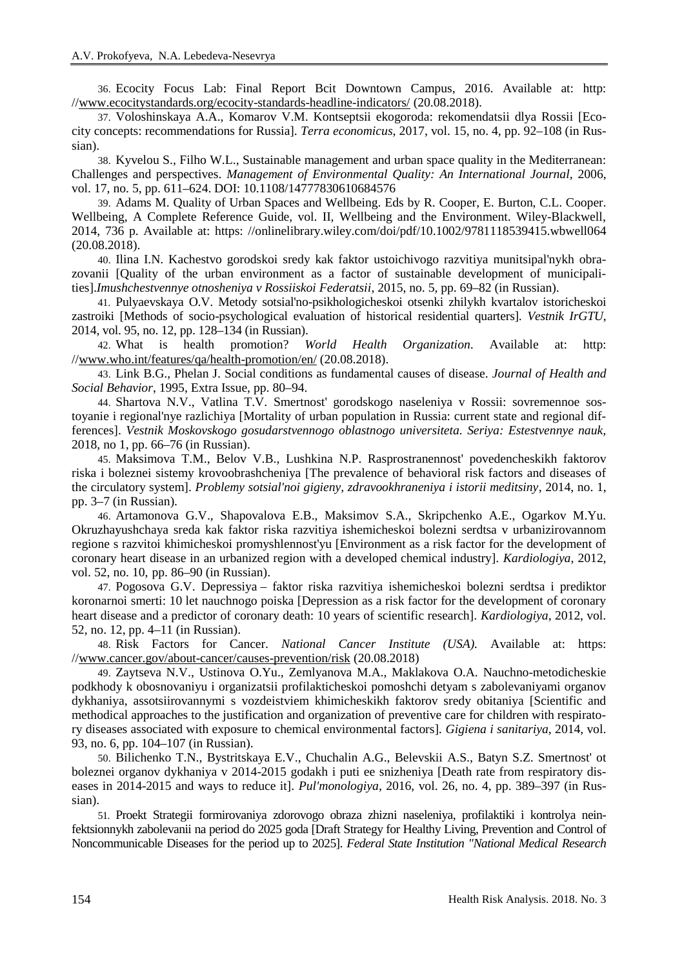36. Ecocity Focus Lab: Final Report Bcit Downtown Campus, 2016. Available at: http: //[www.ecocitystandards.org/ecocity-standards-headline-indicators/](http://www.ecocitystandards.org/ecocity-standards-headline-indicators/) (20.08.2018).

37. Voloshinskaya A.A., Komarov V.M. Kontseptsii ekogoroda: rekomendatsii dlya Rossii [Ecocity concepts: recommendations for Russia]. *Terra economicus*, 2017, vol. 15, no. 4, pp. 92–108 (in Russian).

38. Kyvelou S., Filho W.L., Sustainable management and urban space quality in the Mediterranean: Challenges and perspectives. *Management of Environmental Quality: An International Journal,* 2006, vol. 17, no. 5, pp. 611–624. DOI: 10.1108/14777830610684576

39. Adams M. Quality of Urban Spaces and Wellbeing. Eds by R. Cooper, E. Burton, C.L. Cooper. Wellbeing, A Complete Reference Guide, vol. II, Wellbeing and the Environment. Wiley-Blackwell, 2014, 736 p. Available at: https: //onlinelibrary.wiley.com/doi/pdf/10.1002/9781118539415.wbwell064 (20.08.2018).

40. Ilina I.N. Kachestvo gorodskoi sredy kak faktor ustoichivogo razvitiya munitsipal'nykh obrazovanii [Quality of the urban environment as a factor of sustainable development of municipalities].*Imushchestvennye otnosheniya v Rossiiskoi Federatsii*, 2015, no. 5, pp. 69–82 (in Russian).

41. Pulyaevskaya O.V. Metody sotsial'no-psikhologicheskoi otsenki zhilykh kvartalov istoricheskoi zastroiki [Methods of socio-psychological evaluation of historical residential quarters]. *Vestnik IrGTU*, 2014, vol. 95, no. 12, pp. 128–134 (in Russian).

42. What is health promotion? *World Health Organization*. Available at: http: //[www.who.int/features/qa/health-promotion/en/](http://www.who.int/features/qa/health-promotion/en/) (20.08.2018).

43. Link B.G., Phelan J. Social conditions as fundamental causes of disease. *Journal of Health and Social Behavior*, 1995, Extra Issue, pp. 80–94.

44. Shartova N.V., Vatlina T.V. Smertnost' gorodskogo naseleniya v Rossii: sovremennoe sostoyanie i regional'nye razlichiya [Mortality of urban population in Russia: current state and regional differences]. *Vestnik Moskovskogo gosudarstvennogo oblastnogo universiteta. Seriya: Estestvennye nauk,* 2018, no 1, pp. 66–76 (in Russian).

45. Maksimova T.M., Belov V.B., Lushkina N.P. Rasprostranennost' povedencheskikh faktorov riska i boleznei sistemy krovoobrashcheniya [The prevalence of behavioral risk factors and diseases of the circulatory system]. *Problemy sotsial'noi gigieny, zdravookhraneniya i istorii meditsiny*, 2014, no. 1, pp. 3–7 (in Russian).

46. Artamonova G.V., Shapovalova E.B., Maksimov S.A., Skripchenko A.E., Ogarkov M.Yu. Okruzhayushchaya sreda kak faktor riska razvitiya ishemicheskoi bolezni serdtsa v urbanizirovannom regione s razvitoi khimicheskoi promyshlennost'yu [Environment as a risk factor for the development of coronary heart disease in an urbanized region with a developed chemical industry]. *Kardiologiya*, 2012, vol. 52, no. 10, pp. 86–90 (in Russian).

47. Pogosova G.V. Depressiya – faktor riska razvitiya ishemicheskoi bolezni serdtsa i prediktor koronarnoi smerti: 10 let nauchnogo poiska [Depression as a risk factor for the development of coronary heart disease and a predictor of coronary death: 10 years of scientific research]. *Kardiologiya*, 2012, vol. 52, no. 12, pp. 4–11 (in Russian).

48. Risk Factors for Cancer. *National Cancer Institute (USA).* Available at: https: //[www.cancer.gov/about-cancer/causes-prevention/risk](http://www.cancer.gov/about-cancer/causes-prevention/risk) (20.08.2018)

49. Zaytseva N.V., Ustinova O.Yu., Zemlyanova M.A., Maklakova O.A. Nauchno-metodicheskie podkhody k obosnovaniyu i organizatsii profilakticheskoi pomoshchi detyam s zabolevaniyami organov dykhaniya, assotsiirovannymi s vozdeistviem khimicheskikh faktorov sredy obitaniya [Scientific and methodical approaches to the justification and organization of preventive care for children with respiratory diseases associated with exposure to chemical environmental factors]. *Gigiena i sanitariya*, 2014, vol. 93, no. 6, pp. 104–107 (in Russian).

50. Bilichenko T.N., Bystritskaya E.V., Chuchalin A.G., Belevskii A.S., Batyn S.Z. Smertnost' ot boleznei organov dykhaniya v 2014-2015 godakh i puti ee snizheniya [Death rate from respiratory diseases in 2014-2015 and ways to reduce it]. *Pul'monologiya*, 2016, vol. 26, no. 4, pp. 389–397 (in Russian).

51. Proekt Strategii formirovaniya zdorovogo obraza zhizni naseleniya, profilaktiki i kontrolya neinfektsionnykh zabolevanii na period do 2025 goda [Draft Strategy for Healthy Living, Prevention and Control of Noncommunicable Diseases for the period up to 2025]. *Federal State Institution "National Medical Research*